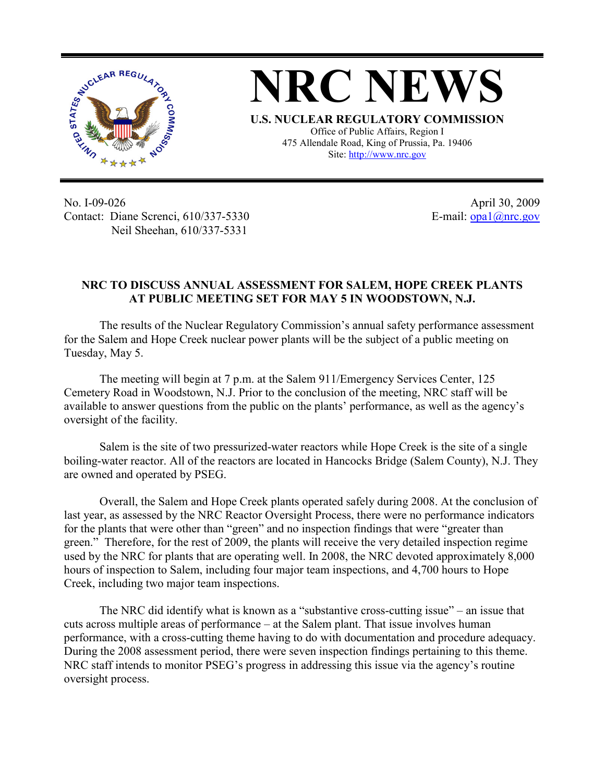

**NRC NEWS U.S. NUCLEAR REGULATORY COMMISSION** Office of Public Affairs, Region I 475 Allendale Road, King of Prussia, Pa. 19406 Site: http://www.nrc.gov

No. I-09-026 Contact: Diane Screnci, 610/337-5330 Neil Sheehan, 610/337-5331

April 30, 2009 E-mail:  $\frac{opal(\partial) \text{mc.gov}}{opal(\partial) \text{mc.gov}}$ 

## **NRC TO DISCUSS ANNUAL ASSESSMENT FOR SALEM, HOPE CREEK PLANTS AT PUBLIC MEETING SET FOR MAY 5 IN WOODSTOWN, N.J.**

The results of the Nuclear Regulatory Commission's annual safety performance assessment for the Salem and Hope Creek nuclear power plants will be the subject of a public meeting on Tuesday, May 5.

The meeting will begin at 7 p.m. at the Salem 911/Emergency Services Center, 125 Cemetery Road in Woodstown, N.J. Prior to the conclusion of the meeting, NRC staff will be available to answer questions from the public on the plants' performance, as well as the agency's oversight of the facility.

Salem is the site of two pressurized-water reactors while Hope Creek is the site of a single boiling-water reactor. All of the reactors are located in Hancocks Bridge (Salem County), N.J. They are owned and operated by PSEG.

Overall, the Salem and Hope Creek plants operated safely during 2008. At the conclusion of last year, as assessed by the NRC Reactor Oversight Process, there were no performance indicators for the plants that were other than "green" and no inspection findings that were "greater than green." Therefore, for the rest of 2009, the plants will receive the very detailed inspection regime used by the NRC for plants that are operating well. In 2008, the NRC devoted approximately 8,000 hours of inspection to Salem, including four major team inspections, and 4,700 hours to Hope Creek, including two major team inspections.

The NRC did identify what is known as a "substantive cross-cutting issue" – an issue that cuts across multiple areas of performance – at the Salem plant. That issue involves human performance, with a cross-cutting theme having to do with documentation and procedure adequacy. During the 2008 assessment period, there were seven inspection findings pertaining to this theme. NRC staff intends to monitor PSEG's progress in addressing this issue via the agency's routine oversight process.